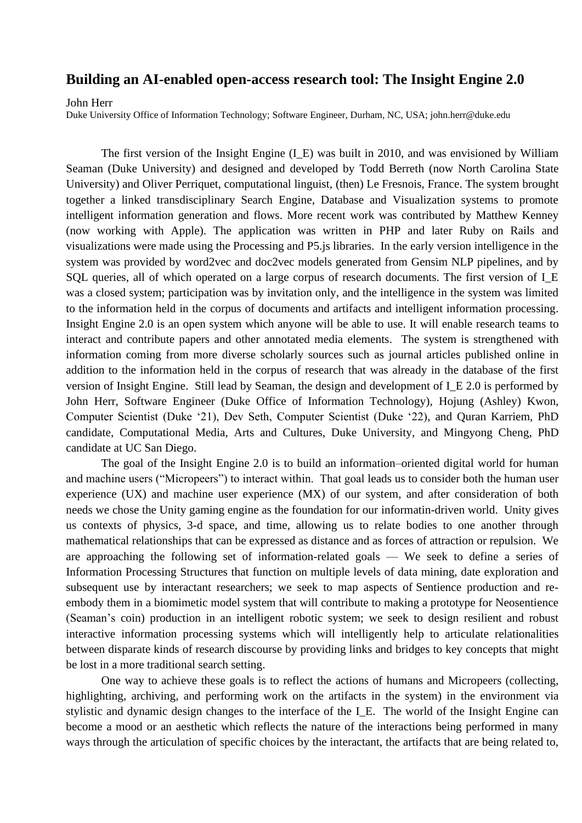## **Building an AI-enabled open-access research tool: The Insight Engine 2.0**

John Herr

Duke University Office of Information Technology; Software Engineer, Durham, NC, USA; [john.herr@duke.edu](mailto:john.herr@duke.edu)

The first version of the Insight Engine (I\_E) was built in 2010, and was envisioned by William Seaman (Duke University) and designed and developed by Todd Berreth (now North Carolina State University) and Oliver Perriquet, computational linguist, (then) Le Fresnois, France. The system brought together a linked transdisciplinary Search Engine, Database and Visualization systems to promote intelligent information generation and flows. More recent work was contributed by Matthew Kenney (now working with Apple). The application was written in PHP and later Ruby on Rails and visualizations were made using the Processing and P5.js libraries. In the early version intelligence in the system was provided by word2vec and doc2vec models generated from Gensim NLP pipelines, and by SQL queries, all of which operated on a large corpus of research documents. The first version of I\_E was a closed system; participation was by invitation only, and the intelligence in the system was limited to the information held in the corpus of documents and artifacts and intelligent information processing. Insight Engine 2.0 is an open system which anyone will be able to use. It will enable research teams to interact and contribute papers and other annotated media elements. The system is strengthened with information coming from more diverse scholarly sources such as journal articles published online in addition to the information held in the corpus of research that was already in the database of the first version of Insight Engine. Still lead by Seaman, the design and development of I\_E 2.0 is performed by John Herr, Software Engineer (Duke Office of Information Technology), Hojung (Ashley) Kwon, Computer Scientist (Duke '21), Dev Seth, Computer Scientist (Duke '22), and Quran Karriem, PhD candidate, Computational Media, Arts and Cultures, Duke University, and Mingyong Cheng, PhD candidate at UC San Diego.

The goal of the Insight Engine 2.0 is to build an information–oriented digital world for human and machine users ("Micropeers") to interact within. That goal leads us to consider both the human user experience (UX) and machine user experience (MX) of our system, and after consideration of both needs we chose the Unity gaming engine as the foundation for our informatin-driven world. Unity gives us contexts of physics, 3-d space, and time, allowing us to relate bodies to one another through mathematical relationships that can be expressed as distance and as forces of attraction or repulsion. We are approaching the following set of information-related goals — We seek to define a series of Information Processing Structures that function on multiple levels of data mining, date exploration and subsequent use by interactant researchers; we seek to map aspects of Sentience production and reembody them in a biomimetic model system that will contribute to making a prototype for Neosentience (Seaman's coin) production in an intelligent robotic system; we seek to design resilient and robust interactive information processing systems which will intelligently help to articulate relationalities between disparate kinds of research discourse by providing links and bridges to key concepts that might be lost in a more traditional search setting.

One way to achieve these goals is to reflect the actions of humans and Micropeers (collecting, highlighting, archiving, and performing work on the artifacts in the system) in the environment via stylistic and dynamic design changes to the interface of the I E. The world of the Insight Engine can become a mood or an aesthetic which reflects the nature of the interactions being performed in many ways through the articulation of specific choices by the interactant, the artifacts that are being related to,